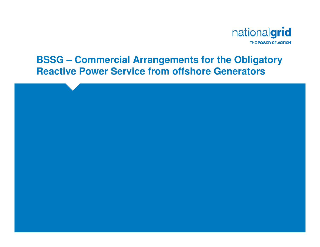

#### **BSSG – Commercial Arrangements for the Obligatory Reactive Power Service from offshore Generators**

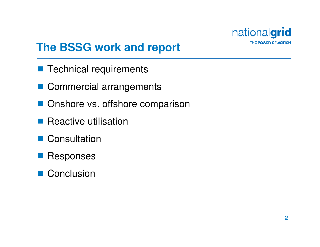

## **The BSSG work and report**

- Technical requirements
- Commercial arrangements
- Onshore vs. offshore comparison
- **Reactive utilisation**
- Consultation
- Responses
- Conclusion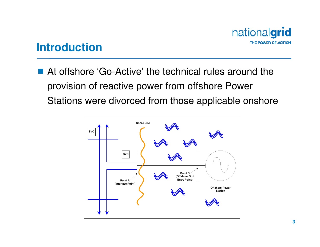

#### **Introduction**

■ At offshore 'Go-Active' the technical rules around the provision of reactive power from offshore Power Stations were divorced from those applicable onshore

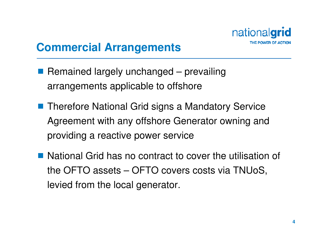

### **Commercial Arrangements**

- Remained largely unchanged prevailing arrangements applicable to offshore
- Therefore National Grid signs a Mandatory Service Agreement with any offshore Generator owning and providing a reactive power service
- National Grid has no contract to cover the utilisation of the OFTO assets – OFTO covers costs via TNUoS, levied from the local generator.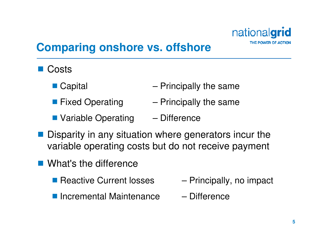

# **Comparing onshore vs. offshore**

- **Costs** 
	- $\blacksquare$  Capital  $\blacksquare$  Capital  $\blacksquare$  Principally the same
	- **Fixed Operating Principally the same**
	- Variable Operating Difference
- Disparity in any situation where generators incur the variable operating costs but do not receive payment
- What's the difference
	- Reactive Current losses  $P$  Principally, no impact
	- Incremental Maintenance Difference
- -